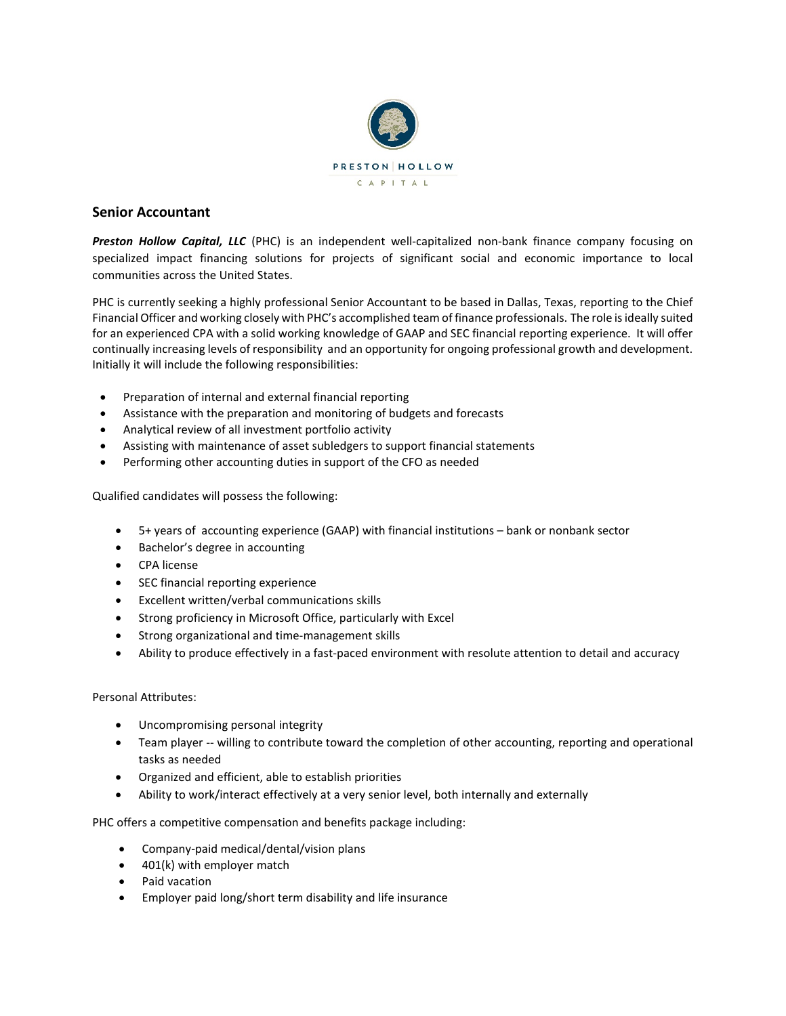

## **Senior Accountant**

*Preston Hollow Capital, LLC* (PHC) is an independent well-capitalized non-bank finance company focusing on specialized impact financing solutions for projects of significant social and economic importance to local communities across the United States.

PHC is currently seeking a highly professional Senior Accountant to be based in Dallas, Texas, reporting to the Chief Financial Officer and working closely with PHC's accomplished team of finance professionals. The role is ideally suited for an experienced CPA with a solid working knowledge of GAAP and SEC financial reporting experience. It will offer continually increasing levels of responsibility and an opportunity for ongoing professional growth and development. Initially it will include the following responsibilities:

- Preparation of internal and external financial reporting
- Assistance with the preparation and monitoring of budgets and forecasts
- Analytical review of all investment portfolio activity
- Assisting with maintenance of asset subledgers to support financial statements
- Performing other accounting duties in support of the CFO as needed

Qualified candidates will possess the following:

- 5+ years of accounting experience (GAAP) with financial institutions bank or nonbank sector
- Bachelor's degree in accounting
- CPA license
- SEC financial reporting experience
- Excellent written/verbal communications skills
- Strong proficiency in Microsoft Office, particularly with Excel
- Strong organizational and time-management skills
- Ability to produce effectively in a fast-paced environment with resolute attention to detail and accuracy

Personal Attributes:

- Uncompromising personal integrity
- Team player -- willing to contribute toward the completion of other accounting, reporting and operational tasks as needed
- Organized and efficient, able to establish priorities
- Ability to work/interact effectively at a very senior level, both internally and externally

PHC offers a competitive compensation and benefits package including:

- Company-paid medical/dental/vision plans
- 401(k) with employer match
- Paid vacation
- Employer paid long/short term disability and life insurance